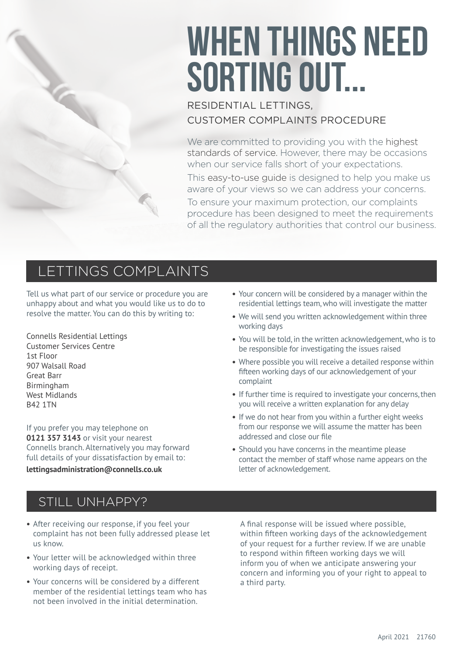# WHEN THINGS NEED SORTING OUT...

#### RESIDENTIAL LETTINGS, CUSTOMER COMPLAINTS PROCEDURE

We are committed to providing you with the highest standards of service. However, there may be occasions when our service falls short of your expectations. This easy-to-use guide is designed to help you make us aware of your views so we can address your concerns. To ensure your maximum protection, our complaints procedure has been designed to meet the requirements of all the regulatory authorities that control our business.

# LETTINGS COMPLAINTS

Tell us what part of our service or procedure you are unhappy about and what you would like us to do to resolve the matter. You can do this by writing to:

Connells Residential Lettings Customer Services Centre 1st Floor 907 Walsall Road Great Barr Birmingham West Midlands B42 1TN

If you prefer you may telephone on **0121 357 3143** or visit your nearest Connells branch. Alternatively you may forward full details of your dissatisfaction by email to:

#### **lettingsadministration@connells.co.uk**

- **•** Your concern will be considered by a manager within the residential lettings team, who will investigate the matter
- **•** We will send you written acknowledgement within three working days
- **•** You will be told, in the written acknowledgement, who is to be responsible for investigating the issues raised
- **•** Where possible you will receive a detailed response within fifteen working days of our acknowledgement of your complaint
- **•** If further time is required to investigate your concerns, then you will receive a written explanation for any delay
- **•** If we do not hear from you within a further eight weeks from our response we will assume the matter has been addressed and close our file
- **•** Should you have concerns in the meantime please contact the member of staff whose name appears on the letter of acknowledgement.

#### STILL UNHAPPY?

- **•** After receiving our response, if you feel your complaint has not been fully addressed please let us know.
- **•** Your letter will be acknowledged within three working days of receipt.
- **•** Your concerns will be considered by a different member of the residential lettings team who has not been involved in the initial determination.

A final response will be issued where possible, within fifteen working days of the acknowledgement of your request for a further review. If we are unable to respond within fifteen working days we will inform you of when we anticipate answering your concern and informing you of your right to appeal to a third party.